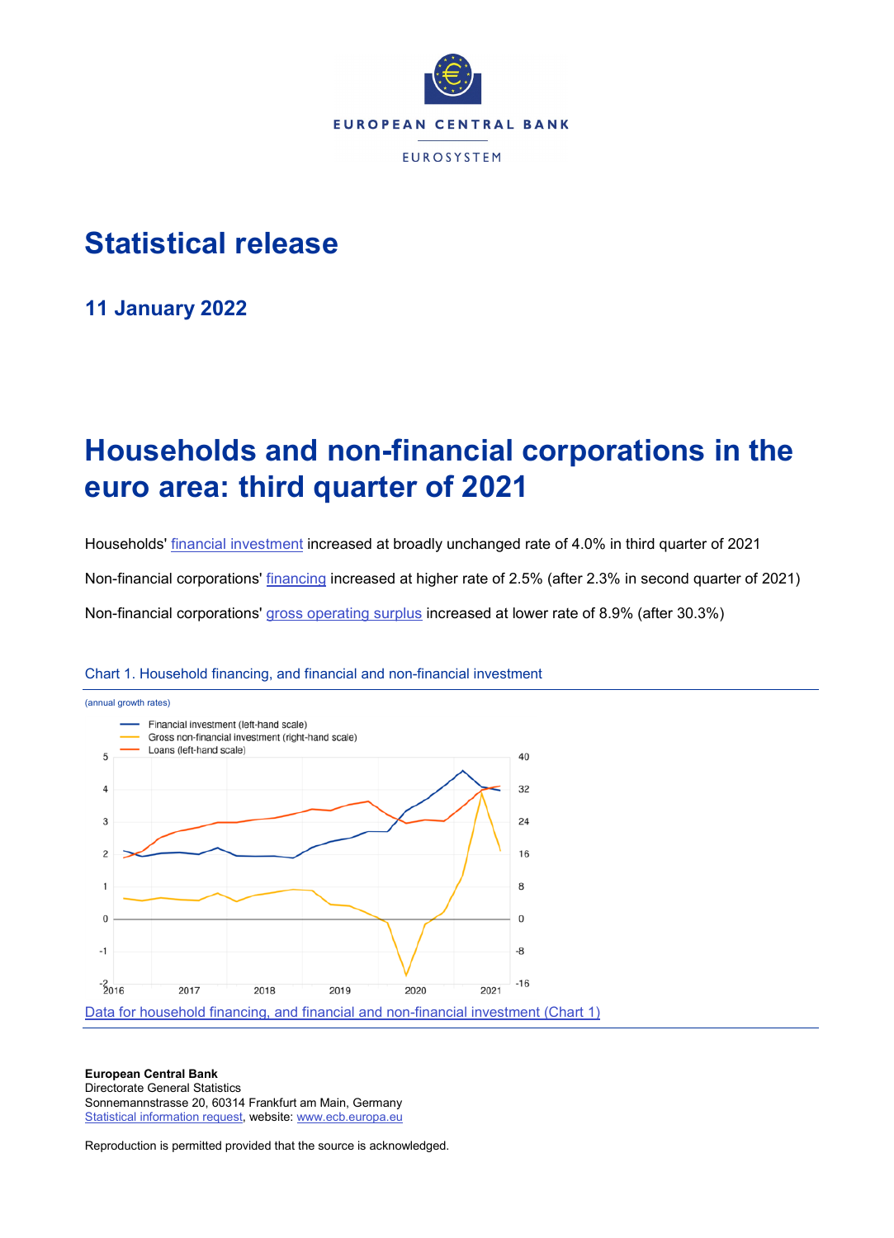

## **Statistical release**

**11 January 2022**

# **Households and non-financial corporations in the euro area: third quarter of 2021**

Households' [financial investment](http://sdw.ecb.europa.eu/browseTable.do?dc=&type=series&cv=&ec=&rc=&node=SEARCHRESULTS&oc=&df=&q=QSA.Q.N.I8.W0.S1M.S1.N.A.F.F._Z._Z.XDC._T.S.V.N._T%20QSA.Q.N.I8.W0.S1M.S1.N.A.LE.F._Z._Z.XDC._T.S.V.N._T&pb=&SERIES_KEY=332.QSA.Q.N.I8.W0.S1M.S1.N.A.F.F._Z._Z.XDC._T.S.V.N._T&SERIES_KEY=332.QSA.Q.N.I8.W0.S1M.S1.N.A.LE.F._Z._Z.XDC._T.S.V.N._T) increased at broadly unchanged rate of 4.0% in third quarter of 2021 Non-financial corporations' [financing](http://sdw.ecb.europa.eu/quickview.do?SERIES_KEY=332.QSA.Q.N.I8.W0.S11.S1.N.L.F.F._Z._Z.XDC._T.S.V.N._T) increased at higher rate of 2.5% (after 2.3% in second quarter of 2021) Non-financial corporations' [gross operating surplus](http://sdw.ecb.europa.eu/quickview.do?SERIES_KEY=332.QSA.Q.N.I8.W0.S11.S1._Z.B.B2A3G._Z._Z._Z.XDC._T.S.V.N._T) increased at lower rate of 8.9% (after 30.3%)



Chart 1. Household financing, and financial and non-financial investment

#### **European Central Bank**

Directorate General Statistics Sonnemannstrasse 20, 60314 Frankfurt am Main, Germany [Statistical information request,](https://ecb-registration.escb.eu/statistical-information) website[: www.ecb.europa.eu](http://www.ecb.europa.eu/)

Reproduction is permitted provided that the source is acknowledged.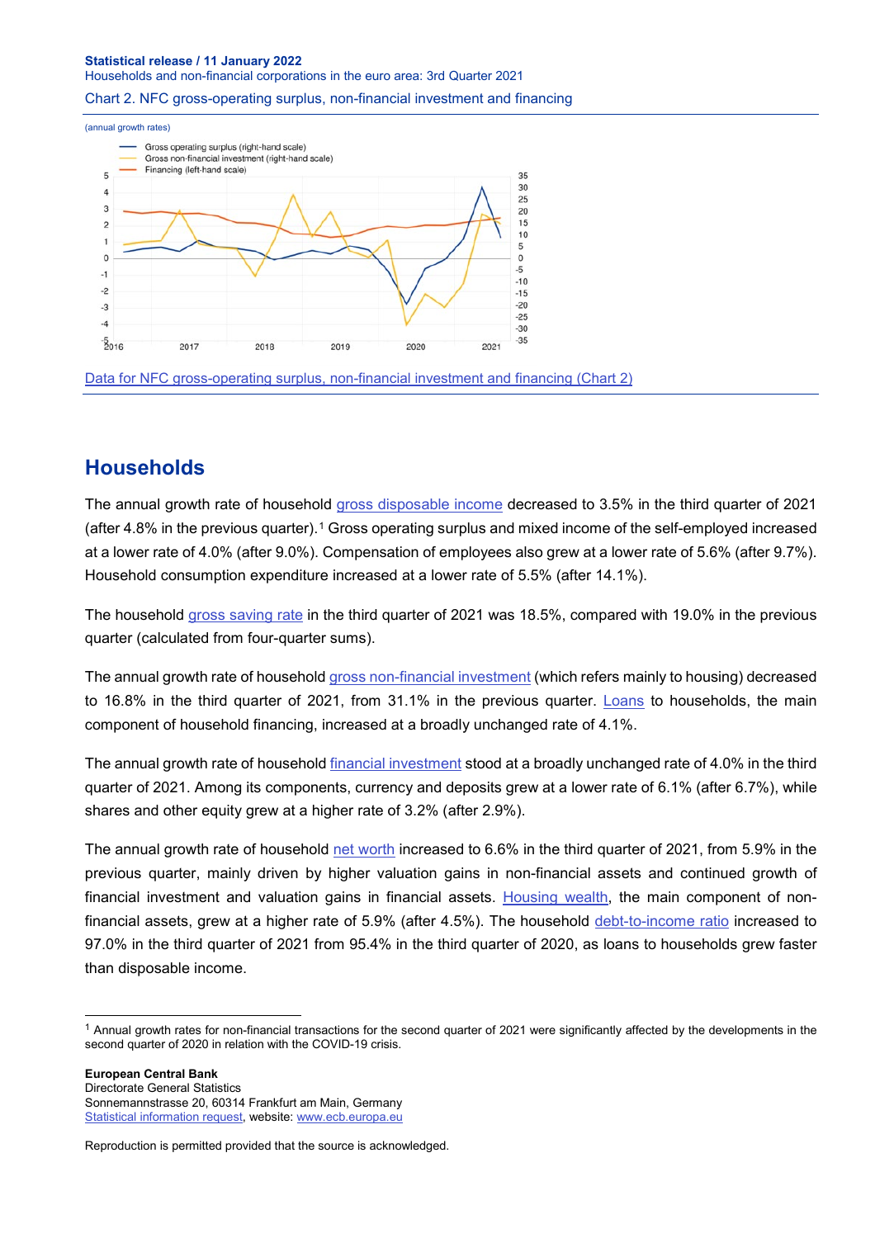#### **Statistical release / 11 January 2022** Households and non-financial corporations in the euro area: 3rd Quarter 2021

#### Chart 2. NFC gross-operating surplus, non-financial investment and financing



## **Households**

The annual growth rate of household [gross disposable income](http://sdw.ecb.europa.eu/quickview.do?SERIES_KEY=332.QSA.Q.N.I8.W0.S1M.S1._Z.B.B6G._Z._Z._Z.XDC._T.S.V.N._T) decreased to 3.5% in the third quarter of 2021 (after 4.8% in the previous quarter).[1](#page-1-0) Gross operating surplus and mixed income of the self-employed increased at a lower rate of 4.0% (after 9.0%). Compensation of employees also grew at a lower rate of 5.6% (after 9.7%). Household consumption expenditure increased at a lower rate of 5.5% (after 14.1%).

The household [gross saving rate](http://sdw.ecb.europa.eu/quickview.do?SERIES_KEY=332.QSA.Q.N.I8.W0.S1M.S1._Z.B.B8G._Z._Z._Z.XDC_R_B6GA_CY._T.S.V.C4._T) in the third quarter of 2021 was 18.5%, compared with 19.0% in the previous quarter (calculated from four-quarter sums).

The annual growth rate of househol[d gross non-financial investment](http://sdw.ecb.europa.eu/quickview.do?SERIES_KEY=332.QSA.Q.N.I8.W0.S1M.S1.N.D.P5L._Z._Z._Z.XDC._T.S.V.G4._T) (which refers mainly to housing) decreased to 16.8% in the third quarter of 2021, from 31.1% in the previous quarter. [Loans](http://sdw.ecb.europa.eu/quickview.do?SERIES_KEY=332.QSA.Q.N.I8.W0.S1M.S1.N.L.F.F4.T._Z.XDC._T.S.V.N._T) to households, the main component of household financing, increased at a broadly unchanged rate of 4.1%.

The annual growth rate of household [financial investment](http://sdw.ecb.europa.eu/browseTable.do?dc=&type=series&cv=&ec=&rc=&node=SEARCHRESULTS&oc=&df=&q=QSA.Q.N.I8.W0.S1M.S1.N.A.F.F._Z._Z.XDC._T.S.V.N._T%20QSA.Q.N.I8.W0.S1M.S1.N.A.LE.F._Z._Z.XDC._T.S.V.N._T&pb=&SERIES_KEY=332.QSA.Q.N.I8.W0.S1M.S1.N.A.F.F._Z._Z.XDC._T.S.V.N._T&SERIES_KEY=332.QSA.Q.N.I8.W0.S1M.S1.N.A.LE.F._Z._Z.XDC._T.S.V.N._T) stood at a broadly unchanged rate of 4.0% in the third quarter of 2021. Among its components, currency and deposits grew at a lower rate of 6.1% (after 6.7%), while shares and other equity grew at a higher rate of 3.2% (after 2.9%).

The annual growth rate of household [net worth](http://sdw.ecb.europa.eu/quickview.do?SERIES_KEY=332.QSA.Q.N.I8.W0.S1M.S1._Z.B.B90._Z._Z._Z.XDC._T.S.V.G4._T) increased to 6.6% in the third quarter of 2021, from 5.9% in the previous quarter, mainly driven by higher valuation gains in non-financial assets and continued growth of financial investment and valuation gains in financial assets. [Housing wealth,](http://sdw.ecb.europa.eu/quickview.do?SERIES_KEY=332.QSA.Q.N.I8.W0.S1M.S1._Z.D.LE.NUN._Z._Z.EUR._Z.S.V.N._T) the main component of nonfinancial assets, grew at a higher rate of 5.9% (after 4.5%). The household [debt-to-income ratio](http://sdw.ecb.europa.eu/quickview.do?SERIES_KEY=332.QSA.Q.N.I8.W0.S1M.S1.N.L.LE.F4.T._Z.XDC_R_B6GA_CY._T.S.V.N._T) increased to 97.0% in the third quarter of 2021 from 95.4% in the third quarter of 2020, as loans to households grew faster than disposable income.

**European Central Bank** Directorate General Statistics Sonnemannstrasse 20, 60314 Frankfurt am Main, Germany [Statistical information request,](https://ecb-registration.escb.eu/statistical-information) website[: www.ecb.europa.eu](http://www.ecb.europa.eu/)

<span id="page-1-0"></span> $1$  Annual growth rates for non-financial transactions for the second quarter of 2021 were significantly affected by the developments in the second quarter of 2020 in relation with the COVID-19 crisis.

Reproduction is permitted provided that the source is acknowledged.